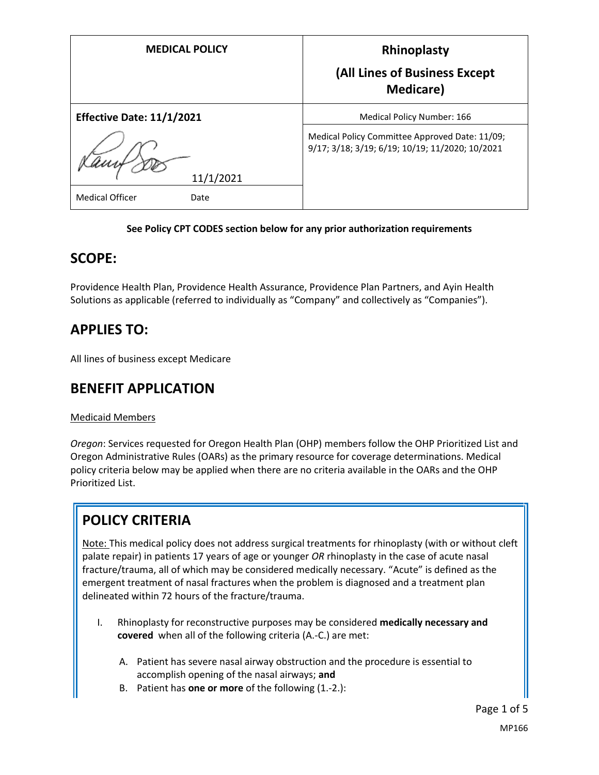| <b>MEDICAL POLICY</b>            | Rhinoplasty<br>(All Lines of Business Except<br><b>Medicare</b> )                                 |
|----------------------------------|---------------------------------------------------------------------------------------------------|
| <b>Effective Date: 11/1/2021</b> | Medical Policy Number: 166                                                                        |
| 11/1/2021                        | Medical Policy Committee Approved Date: 11/09;<br>9/17; 3/18; 3/19; 6/19; 10/19; 11/2020; 10/2021 |
| <b>Medical Officer</b><br>Date   |                                                                                                   |

#### **See Policy CPT CODES section below for any prior authorization requirements**

### **SCOPE:**

Providence Health Plan, Providence Health Assurance, Providence Plan Partners, and Ayin Health Solutions as applicable (referred to individually as "Company" and collectively as "Companies").

## **APPLIES TO:**

All lines of business except Medicare

## **BENEFIT APPLICATION**

#### Medicaid Members

*Oregon*: Services requested for Oregon Health Plan (OHP) members follow the OHP Prioritized List and Oregon Administrative Rules (OARs) as the primary resource for coverage determinations. Medical policy criteria below may be applied when there are no criteria available in the OARs and the OHP Prioritized List.

# **POLICY CRITERIA**

Note: This medical policy does not address surgical treatments for rhinoplasty (with or without cleft palate repair) in patients 17 years of age or younger *OR* rhinoplasty in the case of acute nasal fracture/trauma, all of which may be considered medically necessary. "Acute" is defined as the emergent treatment of nasal fractures when the problem is diagnosed and a treatment plan delineated within 72 hours of the fracture/trauma.

- I. Rhinoplasty for reconstructive purposes may be considered **medically necessary and covered** when all of the following criteria (A.-C.) are met:
	- A. Patient has severe nasal airway obstruction and the procedure is essential to accomplish opening of the nasal airways; **and**
	- B. Patient has **one or more** of the following (1.-2.):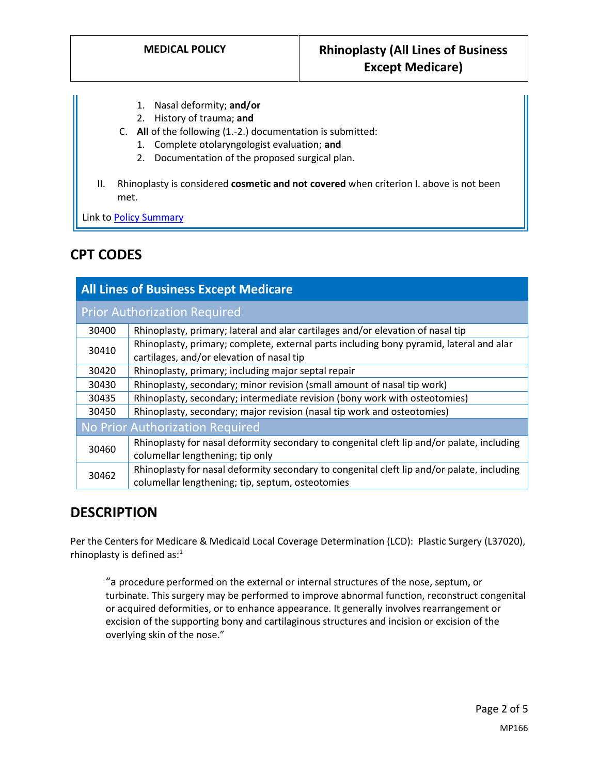- 1. Nasal deformity; **and/or**
- 2. History of trauma; **and**
- C. **All** of the following (1.-2.) documentation is submitted:
	- 1. Complete otolaryngologist evaluation; **and**
	- 2. Documentation of the proposed surgical plan.
- II. Rhinoplasty is considered **cosmetic and not covered** when criterion I. above is not been met.

Link t[o Policy Summary](#page-3-0)

# **CPT CODES**

| <b>All Lines of Business Except Medicare</b> |                                                                                                                                                |
|----------------------------------------------|------------------------------------------------------------------------------------------------------------------------------------------------|
| <b>Prior Authorization Required</b>          |                                                                                                                                                |
| 30400                                        | Rhinoplasty, primary; lateral and alar cartilages and/or elevation of nasal tip                                                                |
| 30410                                        | Rhinoplasty, primary; complete, external parts including bony pyramid, lateral and alar<br>cartilages, and/or elevation of nasal tip           |
| 30420                                        | Rhinoplasty, primary; including major septal repair                                                                                            |
| 30430                                        | Rhinoplasty, secondary; minor revision (small amount of nasal tip work)                                                                        |
| 30435                                        | Rhinoplasty, secondary; intermediate revision (bony work with osteotomies)                                                                     |
| 30450                                        | Rhinoplasty, secondary; major revision (nasal tip work and osteotomies)                                                                        |
| No Prior Authorization Required              |                                                                                                                                                |
| 30460                                        | Rhinoplasty for nasal deformity secondary to congenital cleft lip and/or palate, including<br>columellar lengthening; tip only                 |
| 30462                                        | Rhinoplasty for nasal deformity secondary to congenital cleft lip and/or palate, including<br>columellar lengthening; tip, septum, osteotomies |

## **DESCRIPTION**

Per the Centers for Medicare & Medicaid Local Coverage Determination (LCD): Plastic Surgery (L37020), rhinoplasty is defined as: $<sup>1</sup>$ </sup>

"a procedure performed on the external or internal structures of the nose, septum, or turbinate. This surgery may be performed to improve abnormal function, reconstruct congenital or acquired deformities, or to enhance appearance. It generally involves rearrangement or excision of the supporting bony and cartilaginous structures and incision or excision of the overlying skin of the nose."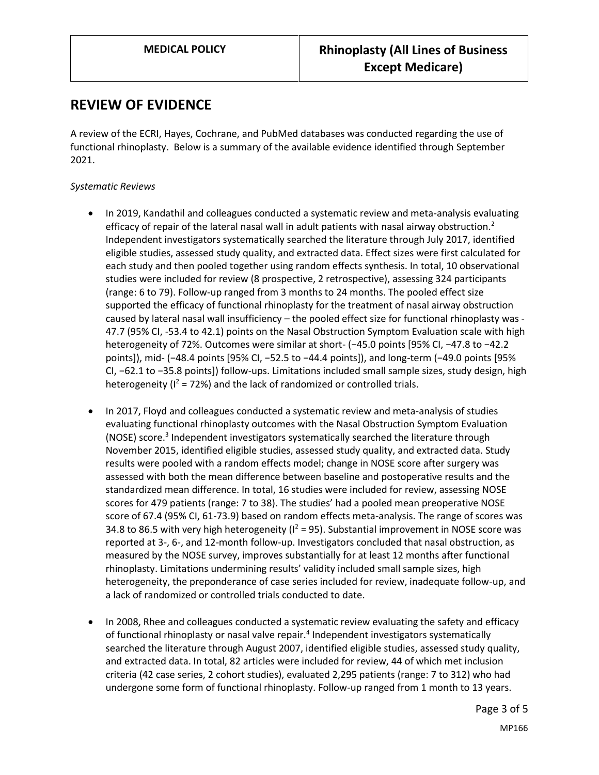### **REVIEW OF EVIDENCE**

A review of the ECRI, Hayes, Cochrane, and PubMed databases was conducted regarding the use of functional rhinoplasty. Below is a summary of the available evidence identified through September 2021.

#### *Systematic Reviews*

- In 2019, Kandathil and colleagues conducted a systematic review and meta-analysis evaluating efficacy of repair of the lateral nasal wall in adult patients with nasal airway obstruction.<sup>2</sup> Independent investigators systematically searched the literature through July 2017, identified eligible studies, assessed study quality, and extracted data. Effect sizes were first calculated for each study and then pooled together using random effects synthesis. In total, 10 observational studies were included for review (8 prospective, 2 retrospective), assessing 324 participants (range: 6 to 79). Follow-up ranged from 3 months to 24 months. The pooled effect size supported the efficacy of functional rhinoplasty for the treatment of nasal airway obstruction caused by lateral nasal wall insufficiency – the pooled effect size for functional rhinoplasty was - 47.7 (95% CI, -53.4 to 42.1) points on the Nasal Obstruction Symptom Evaluation scale with high heterogeneity of 72%. Outcomes were similar at short- (−45.0 points [95% CI, −47.8 to −42.2 points]), mid- (−48.4 points [95% CI, −52.5 to −44.4 points]), and long-term (−49.0 points [95% CI, −62.1 to −35.8 points]) follow-ups. Limitations included small sample sizes, study design, high heterogeneity ( $I^2$  = 72%) and the lack of randomized or controlled trials.
- In 2017, Floyd and colleagues conducted a systematic review and meta-analysis of studies evaluating functional rhinoplasty outcomes with the Nasal Obstruction Symptom Evaluation (NOSE) score.<sup>3</sup> Independent investigators systematically searched the literature through November 2015, identified eligible studies, assessed study quality, and extracted data. Study results were pooled with a random effects model; change in NOSE score after surgery was assessed with both the mean difference between baseline and postoperative results and the standardized mean difference. In total, 16 studies were included for review, assessing NOSE scores for 479 patients (range: 7 to 38). The studies' had a pooled mean preoperative NOSE score of 67.4 (95% CI, 61-73.9) based on random effects meta-analysis. The range of scores was 34.8 to 86.5 with very high heterogeneity ( $I^2$  = 95). Substantial improvement in NOSE score was reported at 3-, 6-, and 12-month follow-up. Investigators concluded that nasal obstruction, as measured by the NOSE survey, improves substantially for at least 12 months after functional rhinoplasty. Limitations undermining results' validity included small sample sizes, high heterogeneity, the preponderance of case series included for review, inadequate follow-up, and a lack of randomized or controlled trials conducted to date.
- In 2008, Rhee and colleagues conducted a systematic review evaluating the safety and efficacy of functional rhinoplasty or nasal valve repair.<sup>4</sup> Independent investigators systematically searched the literature through August 2007, identified eligible studies, assessed study quality, and extracted data. In total, 82 articles were included for review, 44 of which met inclusion criteria (42 case series, 2 cohort studies), evaluated 2,295 patients (range: 7 to 312) who had undergone some form of functional rhinoplasty. Follow-up ranged from 1 month to 13 years.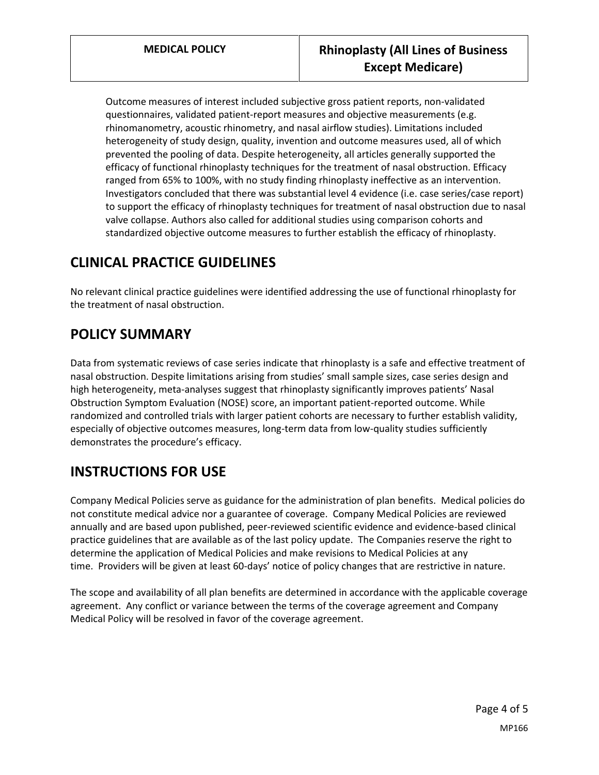Outcome measures of interest included subjective gross patient reports, non-validated questionnaires, validated patient-report measures and objective measurements (e.g. rhinomanometry, acoustic rhinometry, and nasal airflow studies). Limitations included heterogeneity of study design, quality, invention and outcome measures used, all of which prevented the pooling of data. Despite heterogeneity, all articles generally supported the efficacy of functional rhinoplasty techniques for the treatment of nasal obstruction. Efficacy ranged from 65% to 100%, with no study finding rhinoplasty ineffective as an intervention. Investigators concluded that there was substantial level 4 evidence (i.e. case series/case report) to support the efficacy of rhinoplasty techniques for treatment of nasal obstruction due to nasal valve collapse. Authors also called for additional studies using comparison cohorts and standardized objective outcome measures to further establish the efficacy of rhinoplasty.

# **CLINICAL PRACTICE GUIDELINES**

No relevant clinical practice guidelines were identified addressing the use of functional rhinoplasty for the treatment of nasal obstruction.

# <span id="page-3-0"></span>**POLICY SUMMARY**

Data from systematic reviews of case series indicate that rhinoplasty is a safe and effective treatment of nasal obstruction. Despite limitations arising from studies' small sample sizes, case series design and high heterogeneity, meta-analyses suggest that rhinoplasty significantly improves patients' Nasal Obstruction Symptom Evaluation (NOSE) score, an important patient-reported outcome. While randomized and controlled trials with larger patient cohorts are necessary to further establish validity, especially of objective outcomes measures, long-term data from low-quality studies sufficiently demonstrates the procedure's efficacy.

# **INSTRUCTIONS FOR USE**

Company Medical Policies serve as guidance for the administration of plan benefits. Medical policies do not constitute medical advice nor a guarantee of coverage. Company Medical Policies are reviewed annually and are based upon published, peer-reviewed scientific evidence and evidence-based clinical practice guidelines that are available as of the last policy update. The Companies reserve the right to determine the application of Medical Policies and make revisions to Medical Policies at any time. Providers will be given at least 60-days' notice of policy changes that are restrictive in nature.

The scope and availability of all plan benefits are determined in accordance with the applicable coverage agreement. Any conflict or variance between the terms of the coverage agreement and Company Medical Policy will be resolved in favor of the coverage agreement.